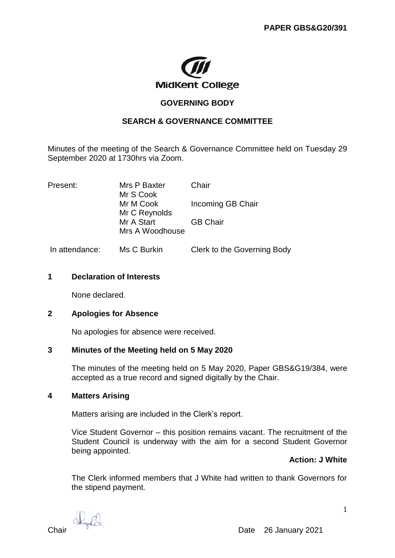

# **GOVERNING BODY**

# **SEARCH & GOVERNANCE COMMITTEE**

Minutes of the meeting of the Search & Governance Committee held on Tuesday 29 September 2020 at 1730hrs via Zoom.

| Present:       | Mrs P Baxter<br>Mr S Cook     | Chair                       |
|----------------|-------------------------------|-----------------------------|
|                | Mr M Cook<br>Mr C Reynolds    | Incoming GB Chair           |
|                | Mr A Start<br>Mrs A Woodhouse | <b>GB Chair</b>             |
| In attendance: | Ms C Burkin                   | Clerk to the Governing Body |

#### **1 Declaration of Interests**

None declared.

## **2 Apologies for Absence**

No apologies for absence were received.

## **3 Minutes of the Meeting held on 5 May 2020**

The minutes of the meeting held on 5 May 2020, Paper GBS&G19/384, were accepted as a true record and signed digitally by the Chair.

#### **4 Matters Arising**

Matters arising are included in the Clerk's report.

Vice Student Governor – this position remains vacant. The recruitment of the Student Council is underway with the aim for a second Student Governor being appointed.

## **Action: J White**

The Clerk informed members that J White had written to thank Governors for the stipend payment.

Chair Date 26 January 2021

1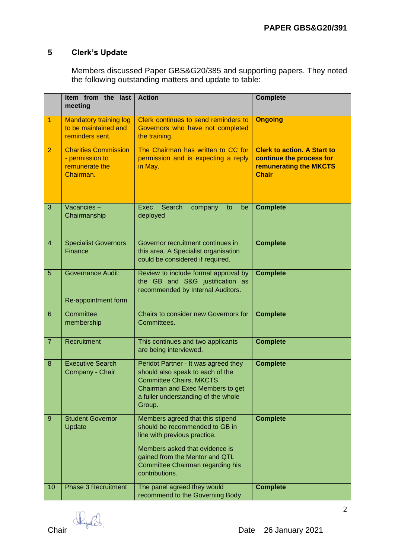# **5 Clerk's Update**

Members discussed Paper GBS&G20/385 and supporting papers. They noted the following outstanding matters and update to table:

|                 | Item from the last<br>meeting                                                 | <b>Action</b>                                                                                                                                                                                                                | <b>Complete</b>                                                                                                 |
|-----------------|-------------------------------------------------------------------------------|------------------------------------------------------------------------------------------------------------------------------------------------------------------------------------------------------------------------------|-----------------------------------------------------------------------------------------------------------------|
| 1               | <b>Mandatory training log</b><br>to be maintained and<br>reminders sent.      | Clerk continues to send reminders to<br>Governors who have not completed<br>the training.                                                                                                                                    | <b>Ongoing</b>                                                                                                  |
| $\overline{2}$  | <b>Charities Commission</b><br>- permission to<br>remunerate the<br>Chairman. | The Chairman has written to CC for<br>permission and is expecting a reply<br>in May.                                                                                                                                         | <b>Clerk to action. A Start to</b><br>continue the process for<br><b>remunerating the MKCTS</b><br><b>Chair</b> |
| 3               | Vacancies-<br>Chairmanship                                                    | Exec<br>Search<br>company<br>to<br>be<br>deployed                                                                                                                                                                            | <b>Complete</b>                                                                                                 |
| $\overline{4}$  | <b>Specialist Governors</b><br>Finance                                        | Governor recruitment continues in<br>this area. A Specialist organisation<br>could be considered if required.                                                                                                                | <b>Complete</b>                                                                                                 |
| 5               | <b>Governance Audit:</b><br>Re-appointment form                               | Review to include formal approval by<br>the GB and S&G justification as<br>recommended by Internal Auditors.                                                                                                                 | <b>Complete</b>                                                                                                 |
| $6\phantom{1}6$ | Committee<br>membership                                                       | Chairs to consider new Governors for<br>Committees.                                                                                                                                                                          | <b>Complete</b>                                                                                                 |
| $\overline{7}$  | Recruitment                                                                   | This continues and two applicants<br>are being interviewed.                                                                                                                                                                  | <b>Complete</b>                                                                                                 |
| 8               | <b>Executive Search</b><br>Company - Chair                                    | Peridot Partner - It was agreed they<br>should also speak to each of the<br><b>Committee Chairs, MKCTS</b><br>Chairman and Exec Members to get<br>a fuller understanding of the whole<br>Group.                              | <b>Complete</b>                                                                                                 |
| $\overline{9}$  | <b>Student Governor</b><br>Update                                             | Members agreed that this stipend<br>should be recommended to GB in<br>line with previous practice.<br>Members asked that evidence is<br>gained from the Mentor and QTL<br>Committee Chairman regarding his<br>contributions. | <b>Complete</b>                                                                                                 |
| 10              | <b>Phase 3 Recruitment</b>                                                    | The panel agreed they would<br>recommend to the Governing Body                                                                                                                                                               | <b>Complete</b>                                                                                                 |

Chair Rydd,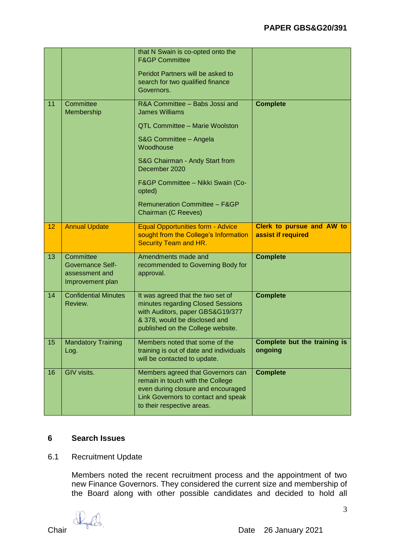|    |                                                                            | that N Swain is co-opted onto the<br><b>F&amp;GP Committee</b><br>Peridot Partners will be asked to<br>search for two qualified finance<br>Governors.                                                                                                                                                        |                                                 |
|----|----------------------------------------------------------------------------|--------------------------------------------------------------------------------------------------------------------------------------------------------------------------------------------------------------------------------------------------------------------------------------------------------------|-------------------------------------------------|
| 11 | Committee<br>Membership                                                    | R&A Committee - Babs Jossi and<br><b>James Williams</b><br><b>QTL Committee - Marie Woolston</b><br>S&G Committee - Angela<br>Woodhouse<br>S&G Chairman - Andy Start from<br>December 2020<br>F&GP Committee - Nikki Swain (Co-<br>opted)<br><b>Remuneration Committee - F&amp;GP</b><br>Chairman (C Reeves) | <b>Complete</b>                                 |
| 12 | <b>Annual Update</b>                                                       | <b>Equal Opportunities form - Advice</b><br>sought from the College's Information<br><b>Security Team and HR.</b>                                                                                                                                                                                            | Clerk to pursue and AW to<br>assist if required |
| 13 | Committee<br><b>Governance Self-</b><br>assessment and<br>Improvement plan | Amendments made and<br>recommended to Governing Body for<br>approval.                                                                                                                                                                                                                                        | <b>Complete</b>                                 |
| 14 | <b>Confidential Minutes</b><br>Review.                                     | It was agreed that the two set of<br>minutes regarding Closed Sessions<br>with Auditors, paper GBS&G19/377<br>& 378, would be disclosed and<br>published on the College website.                                                                                                                             | <b>Complete</b>                                 |
| 15 | <b>Mandatory Training</b><br>Log.                                          | Members noted that some of the<br>training is out of date and individuals<br>will be contacted to update.                                                                                                                                                                                                    | Complete but the training is<br>ongoing         |
| 16 | GIV visits.                                                                | Members agreed that Governors can<br>remain in touch with the College<br>even during closure and encouraged<br>Link Governors to contact and speak<br>to their respective areas.                                                                                                                             | <b>Complete</b>                                 |

## **6 Search Issues**

# 6.1 Recruitment Update

Members noted the recent recruitment process and the appointment of two new Finance Governors. They considered the current size and membership of the Board along with other possible candidates and decided to hold all

Chair Chair Chair Date 26 January 2021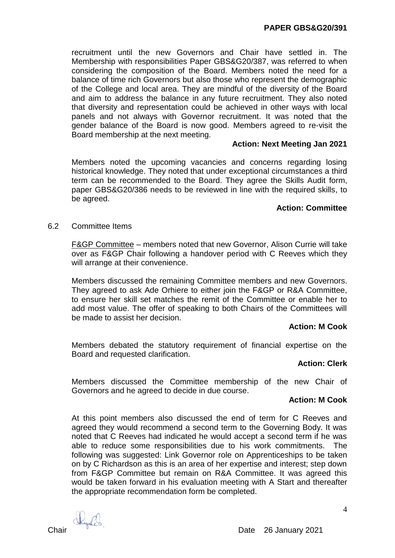recruitment until the new Governors and Chair have settled in. The Membership with responsibilities Paper GBS&G20/387, was referred to when considering the composition of the Board. Members noted the need for a balance of time rich Governors but also those who represent the demographic of the College and local area. They are mindful of the diversity of the Board and aim to address the balance in any future recruitment. They also noted that diversity and representation could be achieved in other ways with local panels and not always with Governor recruitment. It was noted that the gender balance of the Board is now good. Members agreed to re-visit the Board membership at the next meeting.

## **Action: Next Meeting Jan 2021**

Members noted the upcoming vacancies and concerns regarding losing historical knowledge. They noted that under exceptional circumstances a third term can be recommended to the Board. They agree the Skills Audit form, paper GBS&G20/386 needs to be reviewed in line with the required skills, to be agreed.

## **Action: Committee**

## 6.2 Committee Items

F&GP Committee – members noted that new Governor, Alison Currie will take over as F&GP Chair following a handover period with C Reeves which they will arrange at their convenience.

Members discussed the remaining Committee members and new Governors. They agreed to ask Ade Orhiere to either join the F&GP or R&A Committee, to ensure her skill set matches the remit of the Committee or enable her to add most value. The offer of speaking to both Chairs of the Committees will be made to assist her decision.

## **Action: M Cook**

Members debated the statutory requirement of financial expertise on the Board and requested clarification.

## **Action: Clerk**

Members discussed the Committee membership of the new Chair of Governors and he agreed to decide in due course.

## **Action: M Cook**

At this point members also discussed the end of term for C Reeves and agreed they would recommend a second term to the Governing Body. It was noted that C Reeves had indicated he would accept a second term if he was able to reduce some responsibilities due to his work commitments. The following was suggested: Link Governor role on Apprenticeships to be taken on by C Richardson as this is an area of her expertise and interest; step down from F&GP Committee but remain on R&A Committee. It was agreed this would be taken forward in his evaluation meeting with A Start and thereafter the appropriate recommendation form be completed.

Shyde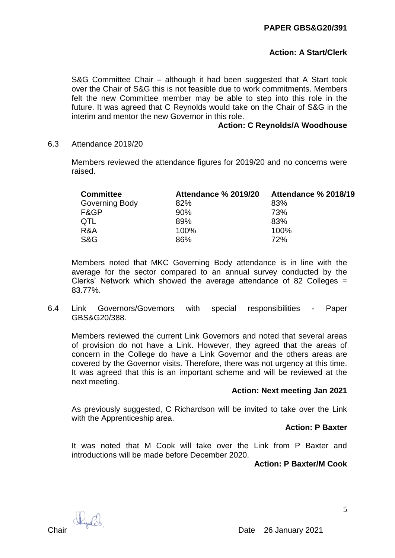# **Action: A Start/Clerk**

S&G Committee Chair – although it had been suggested that A Start took over the Chair of S&G this is not feasible due to work commitments. Members felt the new Committee member may be able to step into this role in the future. It was agreed that C Reynolds would take on the Chair of S&G in the interim and mentor the new Governor in this role.

#### **Action: C Reynolds/A Woodhouse**

6.3 Attendance 2019/20

Members reviewed the attendance figures for 2019/20 and no concerns were raised.

| <b>Committee</b> | <b>Attendance % 2019/20</b> | <b>Attendance % 2018/19</b> |
|------------------|-----------------------------|-----------------------------|
| Governing Body   | 82%                         | 83%                         |
| F&GP             | 90%                         | 73%                         |
| QTL              | 89%                         | 83%                         |
| R&A              | 100%                        | 100%                        |
| <b>S&amp;G</b>   | 86%                         | 72%                         |

Members noted that MKC Governing Body attendance is in line with the average for the sector compared to an annual survey conducted by the Clerks' Network which showed the average attendance of 82 Colleges = 83.77%.

6.4 Link Governors/Governors with special responsibilities - Paper GBS&G20/388.

Members reviewed the current Link Governors and noted that several areas of provision do not have a Link. However, they agreed that the areas of concern in the College do have a Link Governor and the others areas are covered by the Governor visits. Therefore, there was not urgency at this time. It was agreed that this is an important scheme and will be reviewed at the next meeting.

## **Action: Next meeting Jan 2021**

As previously suggested, C Richardson will be invited to take over the Link with the Apprenticeship area.

#### **Action: P Baxter**

It was noted that M Cook will take over the Link from P Baxter and introductions will be made before December 2020.

**Action: P Baxter/M Cook**

Chair Date 26 January 2021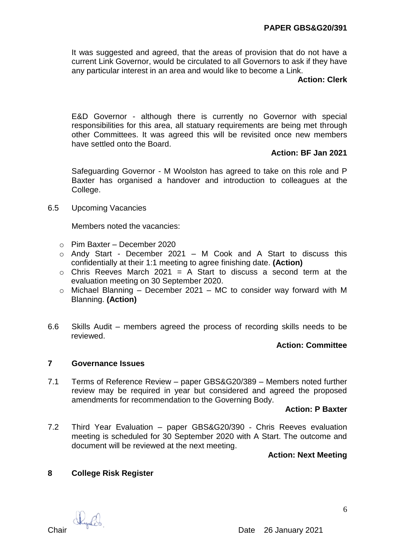It was suggested and agreed, that the areas of provision that do not have a current Link Governor, would be circulated to all Governors to ask if they have any particular interest in an area and would like to become a Link.

**Action: Clerk**

E&D Governor - although there is currently no Governor with special responsibilities for this area, all statuary requirements are being met through other Committees. It was agreed this will be revisited once new members have settled onto the Board.

## **Action: BF Jan 2021**

Safeguarding Governor - M Woolston has agreed to take on this role and P Baxter has organised a handover and introduction to colleagues at the College.

6.5 Upcoming Vacancies

Members noted the vacancies:

- o Pim Baxter December 2020
- $\circ$  Andy Start December 2021 M Cook and A Start to discuss this confidentially at their 1:1 meeting to agree finishing date. **(Action)**
- $\circ$  Chris Reeves March 2021 = A Start to discuss a second term at the evaluation meeting on 30 September 2020.
- $\circ$  Michael Blanning December 2021 MC to consider way forward with M Blanning. **(Action)**
- 6.6 Skills Audit members agreed the process of recording skills needs to be reviewed.

## **Action: Committee**

#### **7 Governance Issues**

7.1 Terms of Reference Review – paper GBS&G20/389 – Members noted further review may be required in year but considered and agreed the proposed amendments for recommendation to the Governing Body.

#### **Action: P Baxter**

7.2 Third Year Evaluation – paper GBS&G20/390 - Chris Reeves evaluation meeting is scheduled for 30 September 2020 with A Start. The outcome and document will be reviewed at the next meeting.

## **Action: Next Meeting**

## **8 College Risk Register**

Chair Date 26 January 2021